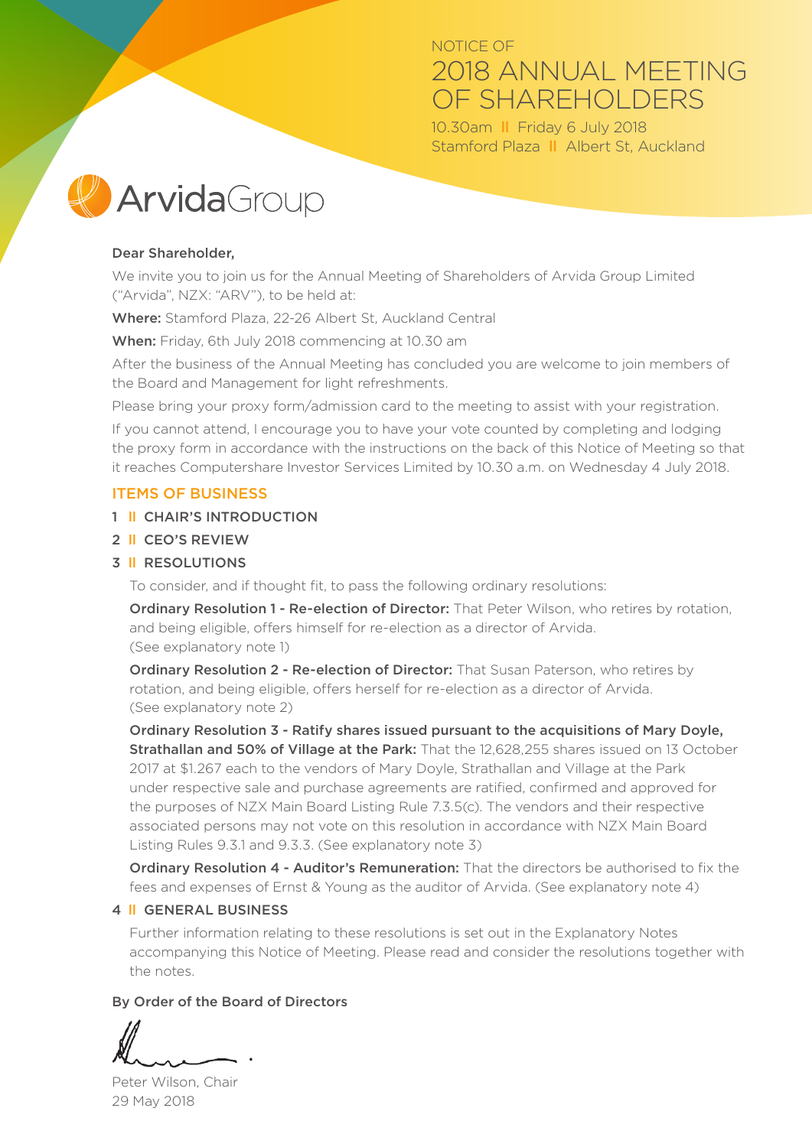## NOTICE OF 2018 ANNUAL MEETING OF SHARFHOLDERS

10.30am ll Friday 6 July 2018 Stamford Plaza ll Albert St, Auckland



#### Dear Shareholder,

We invite you to join us for the Annual Meeting of Shareholders of Arvida Group Limited ("Arvida", NZX: "ARV"), to be held at:

Where: Stamford Plaza, 22-26 Albert St, Auckland Central

When: Friday, 6th July 2018 commencing at 10.30 am

After the business of the Annual Meeting has concluded you are welcome to join members of the Board and Management for light refreshments.

Please bring your proxy form/admission card to the meeting to assist with your registration.

If you cannot attend, I encourage you to have your vote counted by completing and lodging the proxy form in accordance with the instructions on the back of this Notice of Meeting so that it reaches Computershare Investor Services Limited by 10.30 a.m. on Wednesday 4 July 2018.

#### ITEMS OF BUSINESS

#### 1 ll CHAIR'S INTRODUCTION

2 ll CEO'S REVIEW

#### 3 ll RESOLUTIONS

To consider, and if thought fit, to pass the following ordinary resolutions:

Ordinary Resolution 1 - Re-election of Director: That Peter Wilson, who retires by rotation, and being eligible, offers himself for re-election as a director of Arvida. (See explanatory note 1)

Ordinary Resolution 2 - Re-election of Director: That Susan Paterson, who retires by rotation, and being eligible, offers herself for re-election as a director of Arvida. (See explanatory note 2)

Ordinary Resolution 3 - Ratify shares issued pursuant to the acquisitions of Mary Doyle, Strathallan and 50% of Village at the Park: That the 12,628,255 shares issued on 13 October 2017 at \$1.267 each to the vendors of Mary Doyle, Strathallan and Village at the Park under respective sale and purchase agreements are ratified, confirmed and approved for the purposes of NZX Main Board Listing Rule 7.3.5(c). The vendors and their respective associated persons may not vote on this resolution in accordance with NZX Main Board Listing Rules 9.3.1 and 9.3.3. (See explanatory note 3)

Ordinary Resolution 4 - Auditor's Remuneration: That the directors be authorised to fix the fees and expenses of Ernst & Young as the auditor of Arvida. (See explanatory note 4)

#### 4 ll GENERAL BUSINESS

Further information relating to these resolutions is set out in the Explanatory Notes accompanying this Notice of Meeting. Please read and consider the resolutions together with the notes.

#### By Order of the Board of Directors

Peter Wilson, Chair 29 May 2018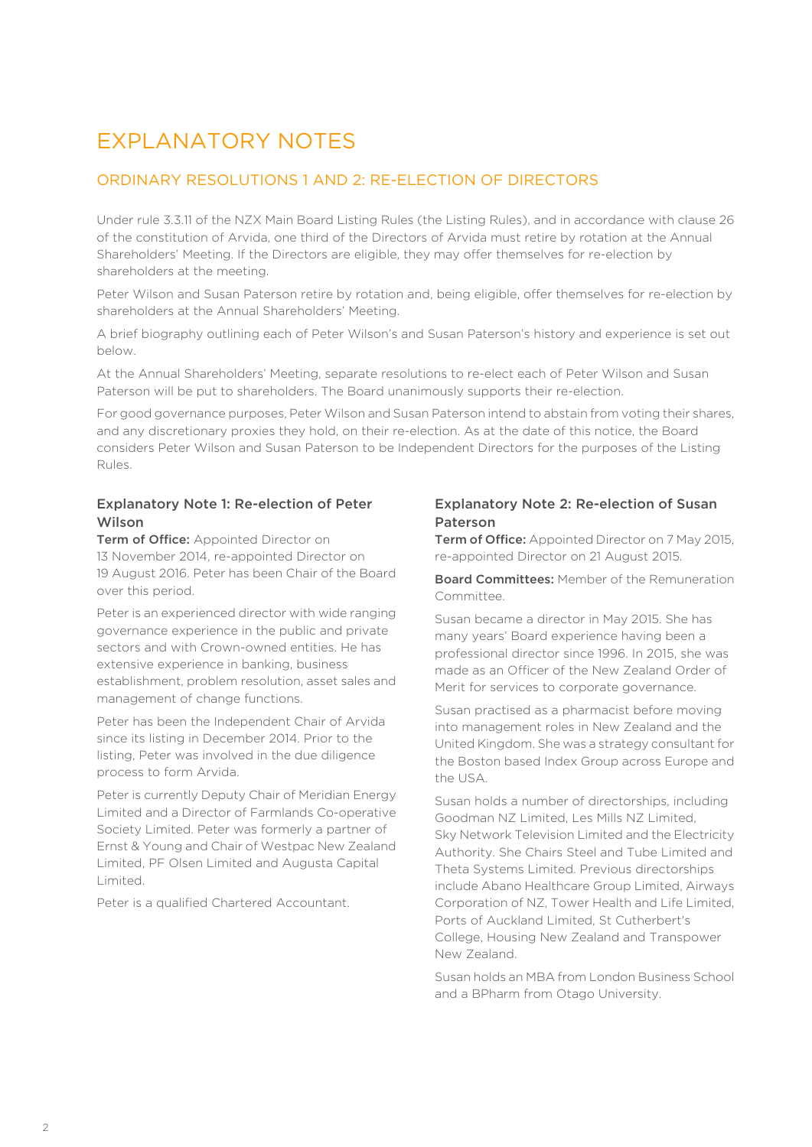# EXPLANATORY NOTES

#### ORDINARY RESOLUTIONS 1 AND 2: RE-ELECTION OF DIRECTORS

Under rule 3.3.11 of the NZX Main Board Listing Rules (the Listing Rules), and in accordance with clause 26 of the constitution of Arvida, one third of the Directors of Arvida must retire by rotation at the Annual Shareholders' Meeting. If the Directors are eligible, they may offer themselves for re-election by shareholders at the meeting.

Peter Wilson and Susan Paterson retire by rotation and, being eligible, offer themselves for re-election by shareholders at the Annual Shareholders' Meeting.

A brief biography outlining each of Peter Wilson's and Susan Paterson's history and experience is set out below.

At the Annual Shareholders' Meeting, separate resolutions to re-elect each of Peter Wilson and Susan Paterson will be put to shareholders. The Board unanimously supports their re-election.

For good governance purposes, Peter Wilson and Susan Paterson intend to abstain from voting their shares, and any discretionary proxies they hold, on their re-election. As at the date of this notice, the Board considers Peter Wilson and Susan Paterson to be Independent Directors for the purposes of the Listing Rules.

#### Explanatory Note 1: Re-election of Peter Wilson

**Term of Office:** Appointed Director on 13 November 2014, re-appointed Director on 19 August 2016. Peter has been Chair of the Board over this period.

Peter is an experienced director with wide ranging governance experience in the public and private sectors and with Crown-owned entities. He has extensive experience in banking, business establishment, problem resolution, asset sales and management of change functions.

Peter has been the Independent Chair of Arvida since its listing in December 2014. Prior to the listing, Peter was involved in the due diligence process to form Arvida.

Peter is currently Deputy Chair of Meridian Energy Limited and a Director of Farmlands Co-operative Society Limited. Peter was formerly a partner of Ernst & Young and Chair of Westpac New Zealand Limited, PF Olsen Limited and Augusta Capital Limited.

Peter is a qualified Chartered Accountant.

#### Explanatory Note 2: Re-election of Susan Paterson

**Term of Office:** Appointed Director on 7 May 2015. re-appointed Director on 21 August 2015.

Board Committees: Member of the Remuneration Committee.

Susan became a director in May 2015. She has many years' Board experience having been a professional director since 1996. In 2015, she was made as an Officer of the New Zealand Order of Merit for services to corporate governance.

Susan practised as a pharmacist before moving into management roles in New Zealand and the United Kingdom. She was a strategy consultant for the Boston based Index Group across Europe and the USA.

Susan holds a number of directorships, including Goodman NZ Limited, Les Mills NZ Limited, Sky Network Television Limited and the Electricity Authority. She Chairs Steel and Tube Limited and Theta Systems Limited. Previous directorships include Abano Healthcare Group Limited, Airways Corporation of NZ, Tower Health and Life Limited, Ports of Auckland Limited, St Cutherbert's College, Housing New Zealand and Transpower New Zealand.

Susan holds an MBA from London Business School and a BPharm from Otago University.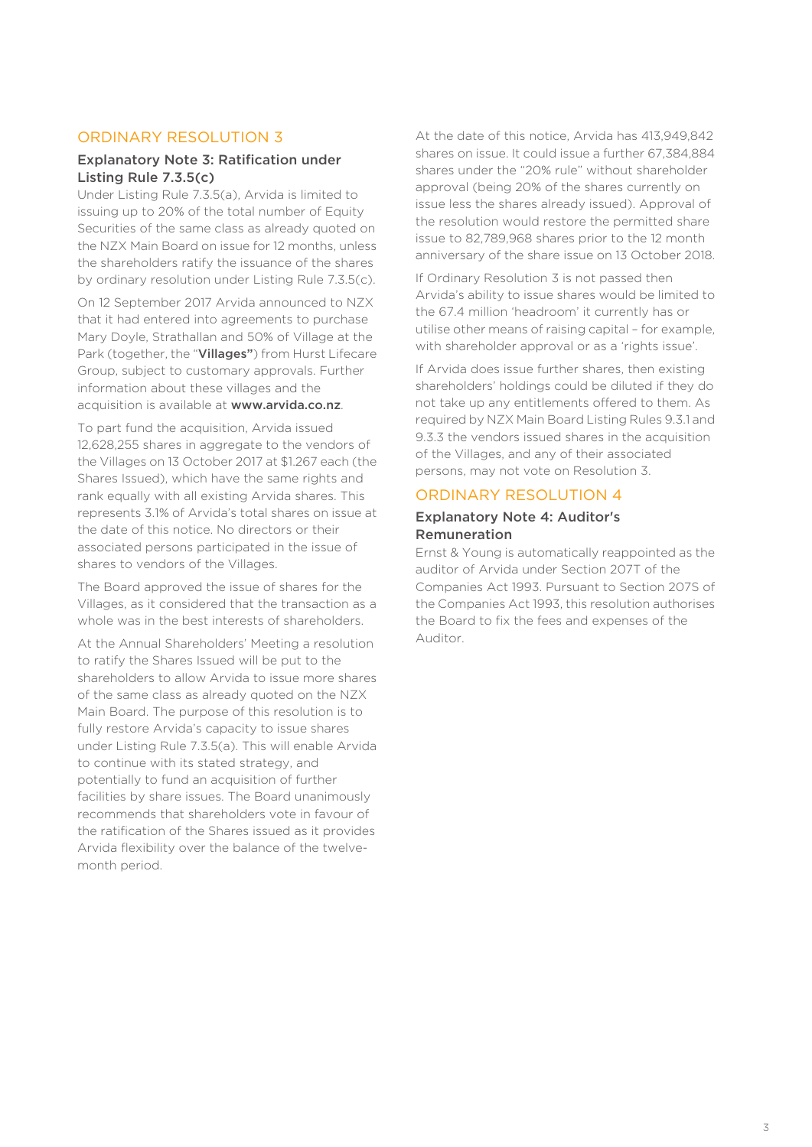#### ORDINARY RESOLUTION 3

#### Explanatory Note 3: Ratification under Listing Rule 7.3.5(c)

Under Listing Rule 7.3.5(a), Arvida is limited to issuing up to 20% of the total number of Equity Securities of the same class as already quoted on the NZX Main Board on issue for 12 months, unless the shareholders ratify the issuance of the shares by ordinary resolution under Listing Rule 7.3.5(c).

On 12 September 2017 Arvida announced to NZX that it had entered into agreements to purchase Mary Doyle, Strathallan and 50% of Village at the Park (together, the "Villages") from Hurst Lifecare Group, subject to customary approvals. Further information about these villages and the acquisition is available at www.arvida.co.nz.

To part fund the acquisition, Arvida issued 12,628,255 shares in aggregate to the vendors of the Villages on 13 October 2017 at \$1.267 each (the Shares Issued), which have the same rights and rank equally with all existing Arvida shares. This represents 3.1% of Arvida's total shares on issue at the date of this notice. No directors or their associated persons participated in the issue of shares to vendors of the Villages.

The Board approved the issue of shares for the Villages, as it considered that the transaction as a whole was in the best interests of shareholders.

At the Annual Shareholders' Meeting a resolution to ratify the Shares Issued will be put to the shareholders to allow Arvida to issue more shares of the same class as already quoted on the NZX Main Board. The purpose of this resolution is to fully restore Arvida's capacity to issue shares under Listing Rule 7.3.5(a). This will enable Arvida to continue with its stated strategy, and potentially to fund an acquisition of further facilities by share issues. The Board unanimously recommends that shareholders vote in favour of the ratification of the Shares issued as it provides Arvida flexibility over the balance of the twelvemonth period.

At the date of this notice, Arvida has 413,949,842 shares on issue. It could issue a further 67,384,884 shares under the "20% rule" without shareholder approval (being 20% of the shares currently on issue less the shares already issued). Approval of the resolution would restore the permitted share issue to 82,789,968 shares prior to the 12 month anniversary of the share issue on 13 October 2018.

If Ordinary Resolution 3 is not passed then Arvida's ability to issue shares would be limited to the 67.4 million 'headroom' it currently has or utilise other means of raising capital – for example, with shareholder approval or as a 'rights issue'.

If Arvida does issue further shares, then existing shareholders' holdings could be diluted if they do not take up any entitlements offered to them. As required by NZX Main Board Listing Rules 9.3.1 and 9.3.3 the vendors issued shares in the acquisition of the Villages, and any of their associated persons, may not vote on Resolution 3.

#### ORDINARY RESOLUTION 4

#### Explanatory Note 4: Auditor's Remuneration

Ernst & Young is automatically reappointed as the auditor of Arvida under Section 207T of the Companies Act 1993. Pursuant to Section 207S of the Companies Act 1993, this resolution authorises the Board to fix the fees and expenses of the Auditor.